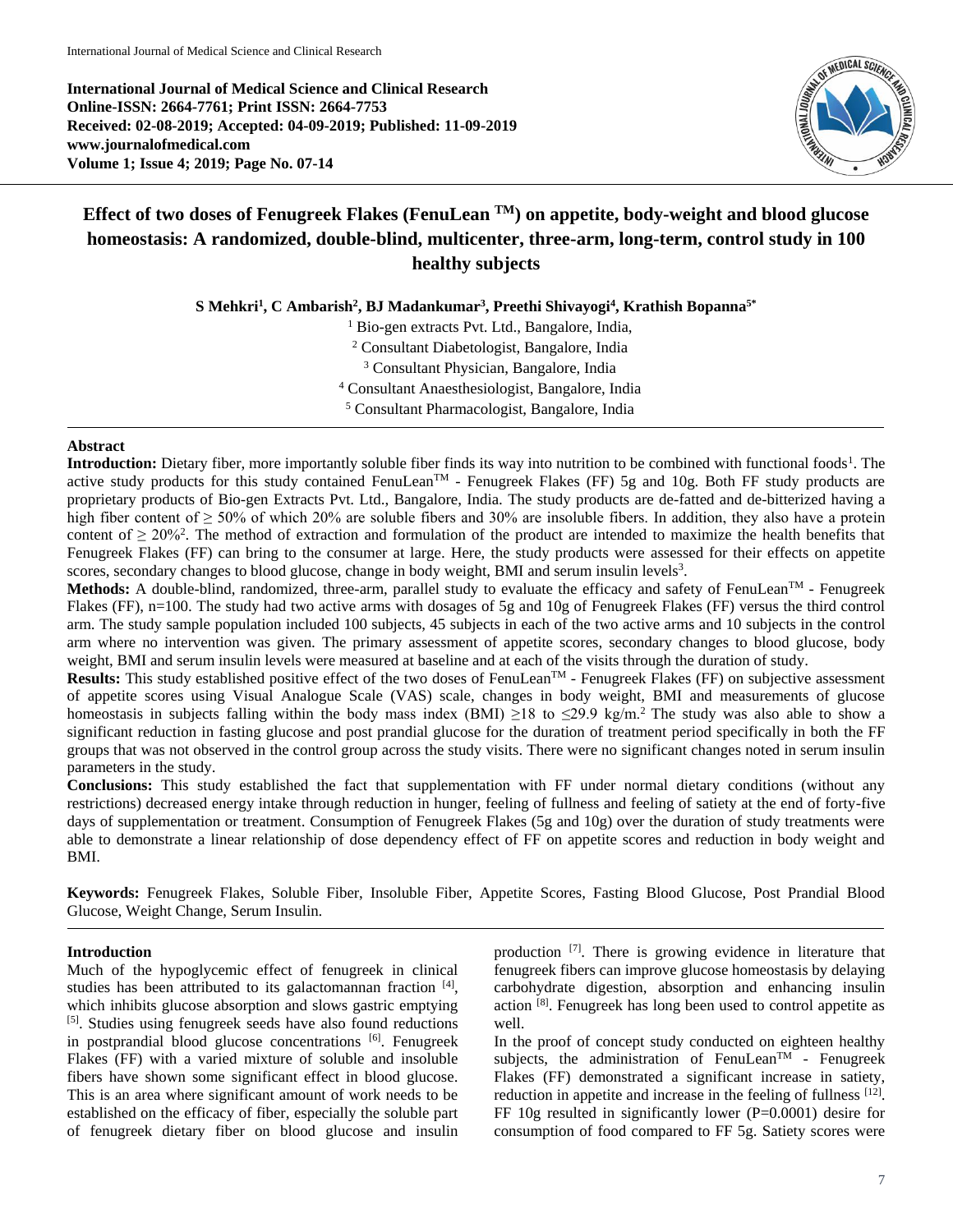**International Journal of Medical Science and Clinical Research Online-ISSN: 2664-7761; Print ISSN: 2664-7753 Received: 02-08-2019; Accepted: 04-09-2019; Published: 11-09-2019 www.journalofmedical.com Volume 1; Issue 4; 2019; Page No. 07-14**



# **Effect of two doses of Fenugreek Flakes (FenuLean TM) on appetite, body-weight and blood glucose homeostasis: A randomized, double-blind, multicenter, three-arm, long-term, control study in 100 healthy subjects**

**S Mehkri<sup>1</sup> , C Ambarish<sup>2</sup> , BJ Madankumar<sup>3</sup> , Preethi Shivayogi<sup>4</sup> , Krathish Bopanna5\***

 Bio-gen extracts Pvt. Ltd., Bangalore, India, Consultant Diabetologist, Bangalore, India Consultant Physician, Bangalore, India Consultant Anaesthesiologist, Bangalore, India Consultant Pharmacologist, Bangalore, India

# **Abstract**

**Introduction:** Dietary fiber, more importantly soluble fiber finds its way into nutrition to be combined with functional foods<sup>1</sup>. The active study products for this study contained FenuLean<sup>TM</sup> - Fenugreek Flakes (FF) 5g and 10g. Both FF study products are proprietary products of Bio-gen Extracts Pvt. Ltd., Bangalore, India. The study products are de-fatted and de-bitterized having a high fiber content of > 50% of which 20% are soluble fibers and 30% are insoluble fibers. In addition, they also have a protein content of  $\geq 20\%$ <sup>2</sup>. The method of extraction and formulation of the product are intended to maximize the health benefits that Fenugreek Flakes (FF) can bring to the consumer at large. Here, the study products were assessed for their effects on appetite scores, secondary changes to blood glucose, change in body weight, BMI and serum insulin levels<sup>3</sup>.

Methods: A double-blind, randomized, three-arm, parallel study to evaluate the efficacy and safety of FenuLean<sup>TM</sup> - Fenugreek Flakes (FF), n=100. The study had two active arms with dosages of 5g and 10g of Fenugreek Flakes (FF) versus the third control arm. The study sample population included 100 subjects, 45 subjects in each of the two active arms and 10 subjects in the control arm where no intervention was given. The primary assessment of appetite scores, secondary changes to blood glucose, body weight, BMI and serum insulin levels were measured at baseline and at each of the visits through the duration of study.

Results: This study established positive effect of the two doses of FenuLean<sup>TM</sup> - Fenugreek Flakes (FF) on subjective assessment of appetite scores using Visual Analogue Scale (VAS) scale, changes in body weight, BMI and measurements of glucose homeostasis in subjects falling within the body mass index (BMI)  $\geq$ 18 to  $\leq$ 29.9 kg/m.<sup>2</sup> The study was also able to show a significant reduction in fasting glucose and post prandial glucose for the duration of treatment period specifically in both the FF groups that was not observed in the control group across the study visits. There were no significant changes noted in serum insulin parameters in the study.

**Conclusions:** This study established the fact that supplementation with FF under normal dietary conditions (without any restrictions) decreased energy intake through reduction in hunger, feeling of fullness and feeling of satiety at the end of forty-five days of supplementation or treatment. Consumption of Fenugreek Flakes (5g and 10g) over the duration of study treatments were able to demonstrate a linear relationship of dose dependency effect of FF on appetite scores and reduction in body weight and BMI.

**Keywords:** Fenugreek Flakes, Soluble Fiber, Insoluble Fiber, Appetite Scores, Fasting Blood Glucose, Post Prandial Blood Glucose, Weight Change, Serum Insulin.

# **Introduction**

Much of the hypoglycemic effect of fenugreek in clinical studies has been attributed to its galactomannan fraction [4], which inhibits glucose absorption and slows gastric emptying [5] . Studies using fenugreek seeds have also found reductions in postprandial blood glucose concentrations [6]. Fenugreek Flakes (FF) with a varied mixture of soluble and insoluble fibers have shown some significant effect in blood glucose. This is an area where significant amount of work needs to be established on the efficacy of fiber, especially the soluble part of fenugreek dietary fiber on blood glucose and insulin

production [7]. There is growing evidence in literature that fenugreek fibers can improve glucose homeostasis by delaying carbohydrate digestion, absorption and enhancing insulin action <sup>[8]</sup>. Fenugreek has long been used to control appetite as well.

In the proof of concept study conducted on eighteen healthy subjects, the administration of FenuLean<sup>TM</sup> - Fenugreek Flakes (FF) demonstrated a significant increase in satiety, reduction in appetite and increase in the feeling of fullness [12]. FF 10g resulted in significantly lower (P=0.0001) desire for consumption of food compared to FF 5g. Satiety scores were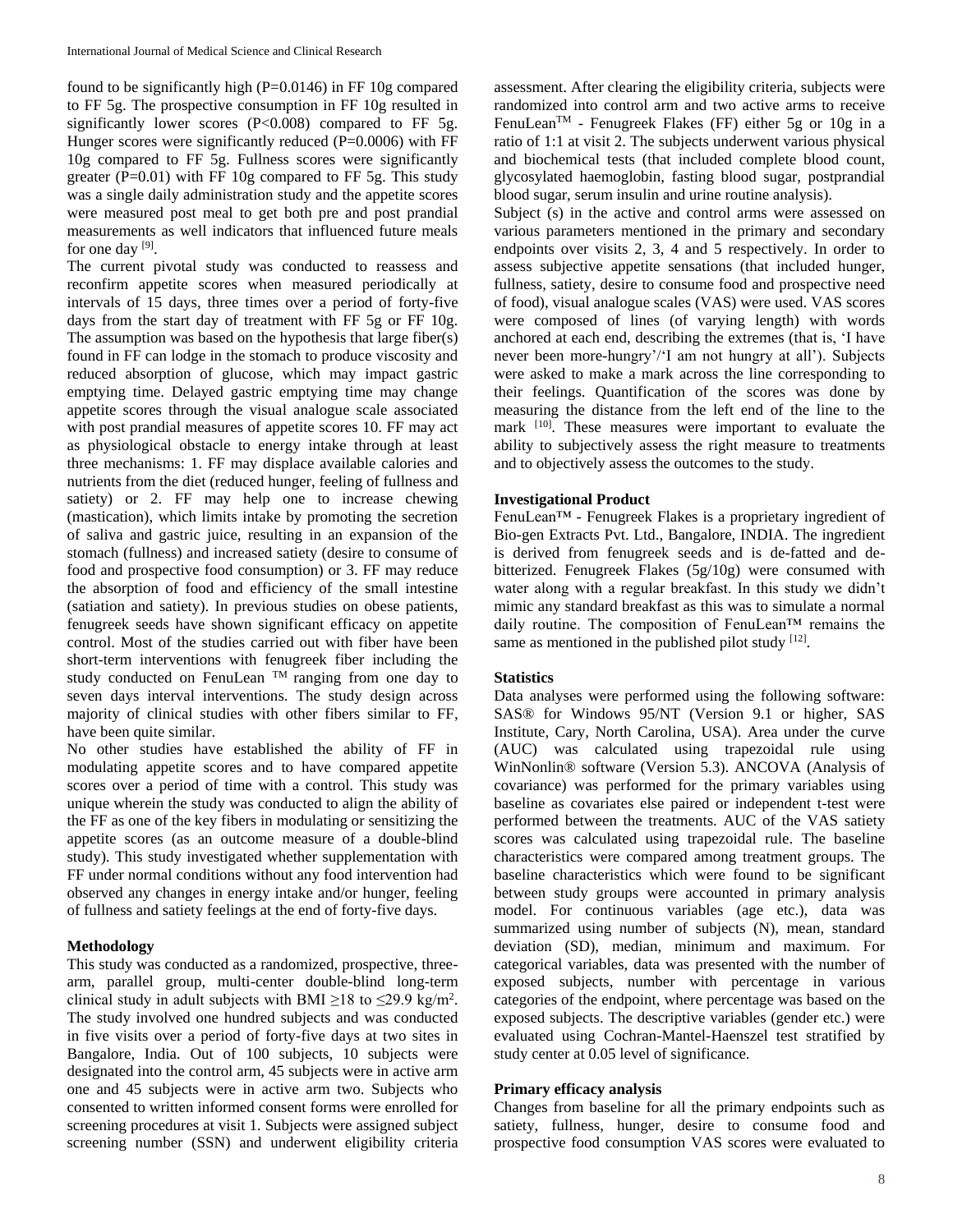found to be significantly high (P=0.0146) in FF 10g compared to FF 5g. The prospective consumption in FF 10g resulted in significantly lower scores (P<0.008) compared to FF 5g. Hunger scores were significantly reduced (P=0.0006) with FF 10g compared to FF 5g. Fullness scores were significantly greater ( $P=0.01$ ) with FF 10g compared to FF 5g. This study was a single daily administration study and the appetite scores were measured post meal to get both pre and post prandial measurements as well indicators that influenced future meals for one day [9].

The current pivotal study was conducted to reassess and reconfirm appetite scores when measured periodically at intervals of 15 days, three times over a period of forty-five days from the start day of treatment with FF 5g or FF 10g. The assumption was based on the hypothesis that large fiber(s) found in FF can lodge in the stomach to produce viscosity and reduced absorption of glucose, which may impact gastric emptying time. Delayed gastric emptying time may change appetite scores through the visual analogue scale associated with post prandial measures of appetite scores 10. FF may act as physiological obstacle to energy intake through at least three mechanisms: 1. FF may displace available calories and nutrients from the diet (reduced hunger, feeling of fullness and satiety) or 2. FF may help one to increase chewing (mastication), which limits intake by promoting the secretion of saliva and gastric juice, resulting in an expansion of the stomach (fullness) and increased satiety (desire to consume of food and prospective food consumption) or 3. FF may reduce the absorption of food and efficiency of the small intestine (satiation and satiety). In previous studies on obese patients, fenugreek seeds have shown significant efficacy on appetite control. Most of the studies carried out with fiber have been short-term interventions with fenugreek fiber including the study conducted on FenuLean  $TM$  ranging from one day to seven days interval interventions. The study design across majority of clinical studies with other fibers similar to FF, have been quite similar.

No other studies have established the ability of FF in modulating appetite scores and to have compared appetite scores over a period of time with a control. This study was unique wherein the study was conducted to align the ability of the FF as one of the key fibers in modulating or sensitizing the appetite scores (as an outcome measure of a double-blind study). This study investigated whether supplementation with FF under normal conditions without any food intervention had observed any changes in energy intake and/or hunger, feeling of fullness and satiety feelings at the end of forty-five days.

## **Methodology**

This study was conducted as a randomized, prospective, threearm, parallel group, multi-center double-blind long-term clinical study in adult subjects with BMI  $\geq$ 18 to  $\leq$ 29.9 kg/m<sup>2</sup>. The study involved one hundred subjects and was conducted in five visits over a period of forty-five days at two sites in Bangalore, India. Out of 100 subjects, 10 subjects were designated into the control arm, 45 subjects were in active arm one and 45 subjects were in active arm two. Subjects who consented to written informed consent forms were enrolled for screening procedures at visit 1. Subjects were assigned subject screening number (SSN) and underwent eligibility criteria

assessment. After clearing the eligibility criteria, subjects were randomized into control arm and two active arms to receive FenuLeanTM - Fenugreek Flakes (FF) either 5g or 10g in a ratio of 1:1 at visit 2. The subjects underwent various physical and biochemical tests (that included complete blood count, glycosylated haemoglobin, fasting blood sugar, postprandial blood sugar, serum insulin and urine routine analysis).

Subject (s) in the active and control arms were assessed on various parameters mentioned in the primary and secondary endpoints over visits 2, 3, 4 and 5 respectively. In order to assess subjective appetite sensations (that included hunger, fullness, satiety, desire to consume food and prospective need of food), visual analogue scales (VAS) were used. VAS scores were composed of lines (of varying length) with words anchored at each end, describing the extremes (that is, 'I have never been more-hungry'/'I am not hungry at all'). Subjects were asked to make a mark across the line corresponding to their feelings. Quantification of the scores was done by measuring the distance from the left end of the line to the mark <sup>[10]</sup>. These measures were important to evaluate the ability to subjectively assess the right measure to treatments and to objectively assess the outcomes to the study.

#### **Investigational Product**

FenuLean™ - Fenugreek Flakes is a proprietary ingredient of Bio-gen Extracts Pvt. Ltd., Bangalore, INDIA. The ingredient is derived from fenugreek seeds and is de-fatted and debitterized. Fenugreek Flakes (5g/10g) were consumed with water along with a regular breakfast. In this study we didn't mimic any standard breakfast as this was to simulate a normal daily routine. The composition of FenuLean™ remains the same as mentioned in the published pilot study  $[12]$ .

#### **Statistics**

Data analyses were performed using the following software: SAS® for Windows 95/NT (Version 9.1 or higher, SAS Institute, Cary, North Carolina, USA). Area under the curve (AUC) was calculated using trapezoidal rule using WinNonlin® software (Version 5.3). ANCOVA (Analysis of covariance) was performed for the primary variables using baseline as covariates else paired or independent t-test were performed between the treatments. AUC of the VAS satiety scores was calculated using trapezoidal rule. The baseline characteristics were compared among treatment groups. The baseline characteristics which were found to be significant between study groups were accounted in primary analysis model. For continuous variables (age etc.), data was summarized using number of subjects (N), mean, standard deviation (SD), median, minimum and maximum. For categorical variables, data was presented with the number of exposed subjects, number with percentage in various categories of the endpoint, where percentage was based on the exposed subjects. The descriptive variables (gender etc.) were evaluated using Cochran-Mantel-Haenszel test stratified by study center at 0.05 level of significance.

#### **Primary efficacy analysis**

Changes from baseline for all the primary endpoints such as satiety, fullness, hunger, desire to consume food and prospective food consumption VAS scores were evaluated to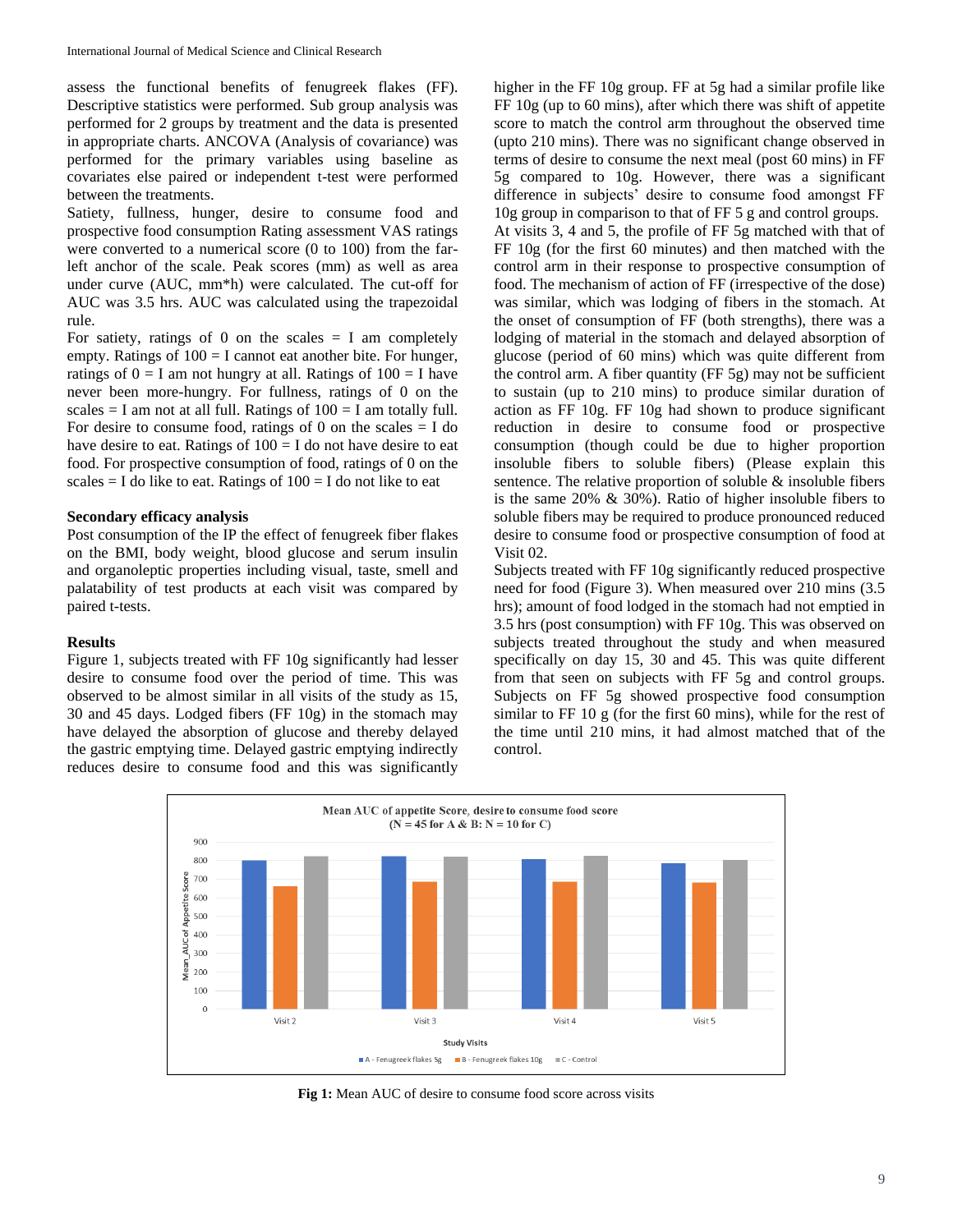assess the functional benefits of fenugreek flakes (FF). Descriptive statistics were performed. Sub group analysis was performed for 2 groups by treatment and the data is presented in appropriate charts. ANCOVA (Analysis of covariance) was performed for the primary variables using baseline as covariates else paired or independent t-test were performed between the treatments.

Satiety, fullness, hunger, desire to consume food and prospective food consumption Rating assessment VAS ratings were converted to a numerical score (0 to 100) from the farleft anchor of the scale. Peak scores (mm) as well as area under curve (AUC, mm\*h) were calculated. The cut-off for AUC was 3.5 hrs. AUC was calculated using the trapezoidal rule.

For satiety, ratings of 0 on the scales  $= I$  am completely empty. Ratings of  $100 = I$  cannot eat another bite. For hunger, ratings of  $0 = I$  am not hungry at all. Ratings of  $100 = I$  have never been more-hungry. For fullness, ratings of 0 on the scales  $=$  I am not at all full. Ratings of  $100 =$  I am totally full. For desire to consume food, ratings of 0 on the scales  $=$  I do have desire to eat. Ratings of  $100 = I$  do not have desire to eat food. For prospective consumption of food, ratings of 0 on the scales = I do like to eat. Ratings of  $100 =$  I do not like to eat

# **Secondary efficacy analysis**

Post consumption of the IP the effect of fenugreek fiber flakes on the BMI, body weight, blood glucose and serum insulin and organoleptic properties including visual, taste, smell and palatability of test products at each visit was compared by paired t-tests.

# **Results**

Figure 1, subjects treated with FF 10g significantly had lesser desire to consume food over the period of time. This was observed to be almost similar in all visits of the study as 15, 30 and 45 days. Lodged fibers (FF 10g) in the stomach may have delayed the absorption of glucose and thereby delayed the gastric emptying time. Delayed gastric emptying indirectly reduces desire to consume food and this was significantly

higher in the FF 10g group. FF at 5g had a similar profile like FF 10g (up to 60 mins), after which there was shift of appetite score to match the control arm throughout the observed time (upto 210 mins). There was no significant change observed in terms of desire to consume the next meal (post 60 mins) in FF 5g compared to 10g. However, there was a significant difference in subjects' desire to consume food amongst FF 10g group in comparison to that of FF 5 g and control groups.

At visits 3, 4 and 5, the profile of FF 5g matched with that of FF 10g (for the first 60 minutes) and then matched with the control arm in their response to prospective consumption of food. The mechanism of action of FF (irrespective of the dose) was similar, which was lodging of fibers in the stomach. At the onset of consumption of FF (both strengths), there was a lodging of material in the stomach and delayed absorption of glucose (period of 60 mins) which was quite different from the control arm. A fiber quantity (FF 5g) may not be sufficient to sustain (up to 210 mins) to produce similar duration of action as FF 10g. FF 10g had shown to produce significant reduction in desire to consume food or prospective consumption (though could be due to higher proportion insoluble fibers to soluble fibers) (Please explain this sentence. The relative proportion of soluble  $\&$  insoluble fibers is the same 20% & 30%). Ratio of higher insoluble fibers to soluble fibers may be required to produce pronounced reduced desire to consume food or prospective consumption of food at Visit 02.

Subjects treated with FF 10g significantly reduced prospective need for food (Figure 3). When measured over 210 mins (3.5 hrs); amount of food lodged in the stomach had not emptied in 3.5 hrs (post consumption) with FF 10g. This was observed on subjects treated throughout the study and when measured specifically on day 15, 30 and 45. This was quite different from that seen on subjects with FF 5g and control groups. Subjects on FF 5g showed prospective food consumption similar to FF 10 g (for the first 60 mins), while for the rest of the time until 210 mins, it had almost matched that of the control.



**Fig 1:** Mean AUC of desire to consume food score across visits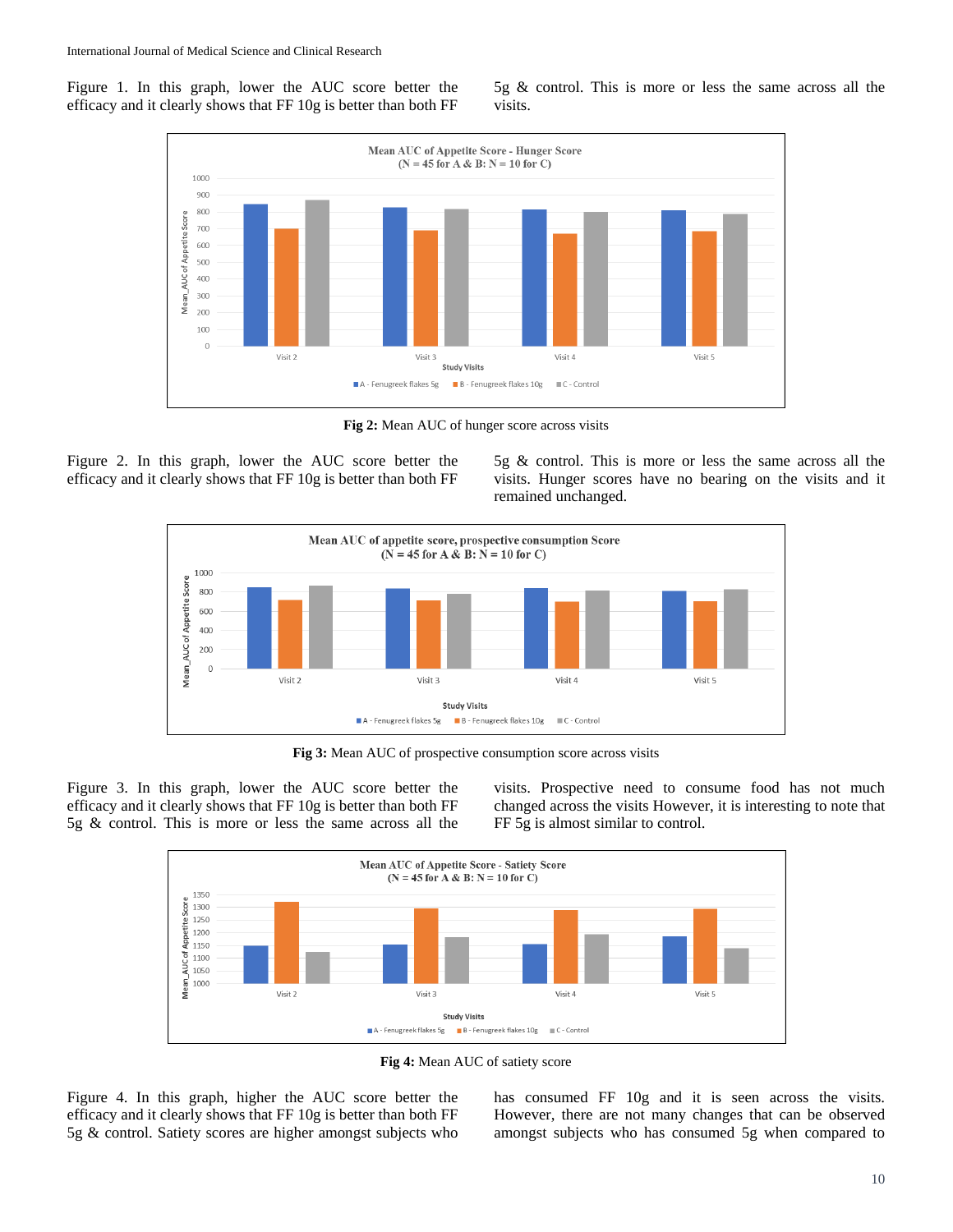Figure 1. In this graph, lower the AUC score better the efficacy and it clearly shows that FF 10g is better than both FF 5g & control. This is more or less the same across all the visits.



**Fig 2:** Mean AUC of hunger score across visits

Figure 2. In this graph, lower the AUC score better the efficacy and it clearly shows that FF 10g is better than both FF

5g & control. This is more or less the same across all the visits. Hunger scores have no bearing on the visits and it remained unchanged.



**Fig 3:** Mean AUC of prospective consumption score across visits

Figure 3. In this graph, lower the AUC score better the efficacy and it clearly shows that FF 10g is better than both FF 5g & control. This is more or less the same across all the

visits. Prospective need to consume food has not much changed across the visits However, it is interesting to note that FF 5g is almost similar to control.



**Fig 4:** Mean AUC of satiety score

Figure 4. In this graph, higher the AUC score better the efficacy and it clearly shows that FF 10g is better than both FF 5g & control. Satiety scores are higher amongst subjects who

has consumed FF 10g and it is seen across the visits. However, there are not many changes that can be observed amongst subjects who has consumed 5g when compared to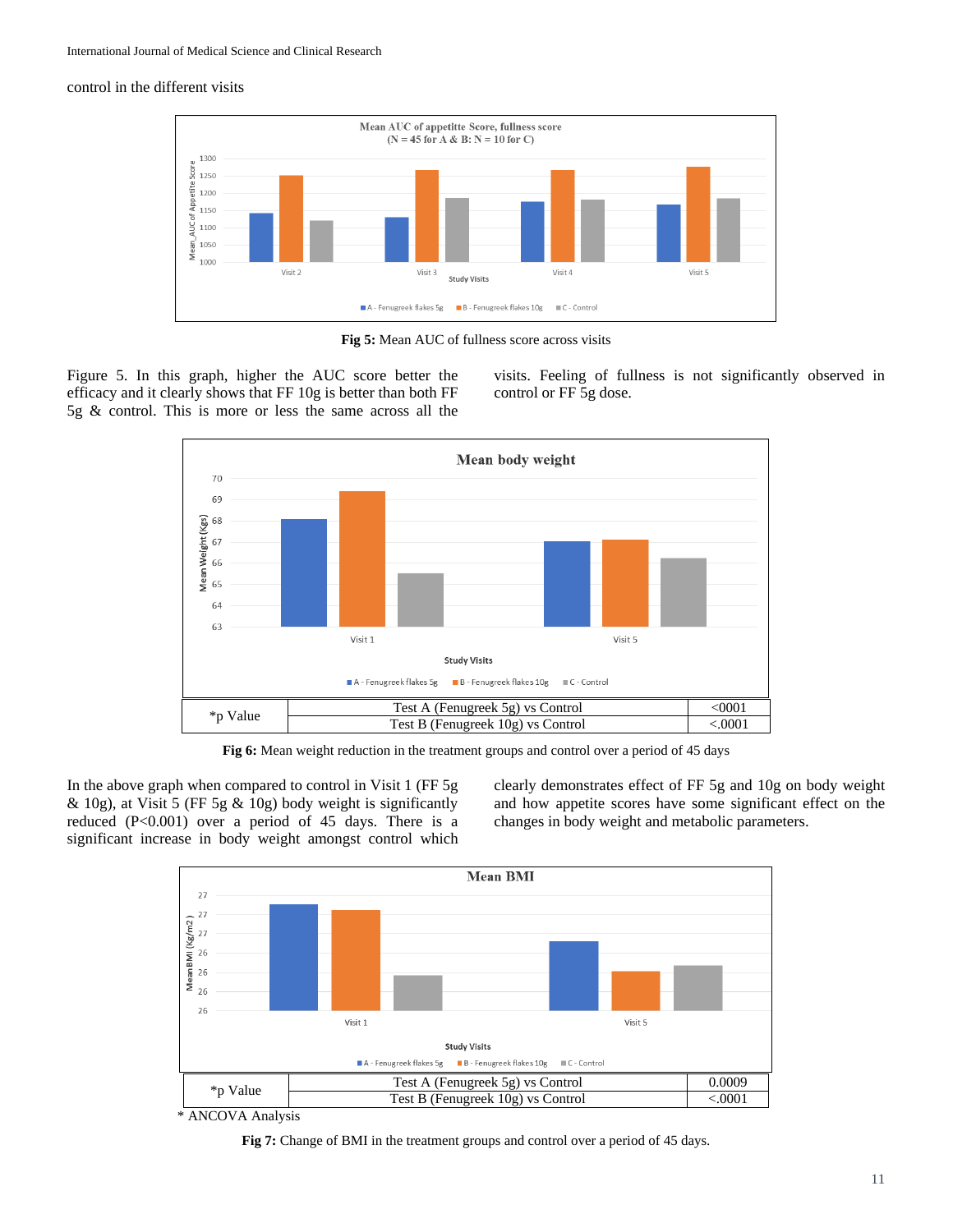# control in the different visits



**Fig 5:** Mean AUC of fullness score across visits

Figure 5. In this graph, higher the AUC score better the efficacy and it clearly shows that FF 10g is better than both FF 5g & control. This is more or less the same across all the visits. Feeling of fullness is not significantly observed in control or FF 5g dose.



**Fig 6:** Mean weight reduction in the treatment groups and control over a period of 45 days

In the above graph when compared to control in Visit 1 (FF 5g & 10g), at Visit 5 (FF 5g & 10g) body weight is significantly reduced (P<0.001) over a period of 45 days. There is a significant increase in body weight amongst control which

clearly demonstrates effect of FF 5g and 10g on body weight and how appetite scores have some significant effect on the changes in body weight and metabolic parameters.



\* ANCOVA Analysis

**Fig 7:** Change of BMI in the treatment groups and control over a period of 45 days.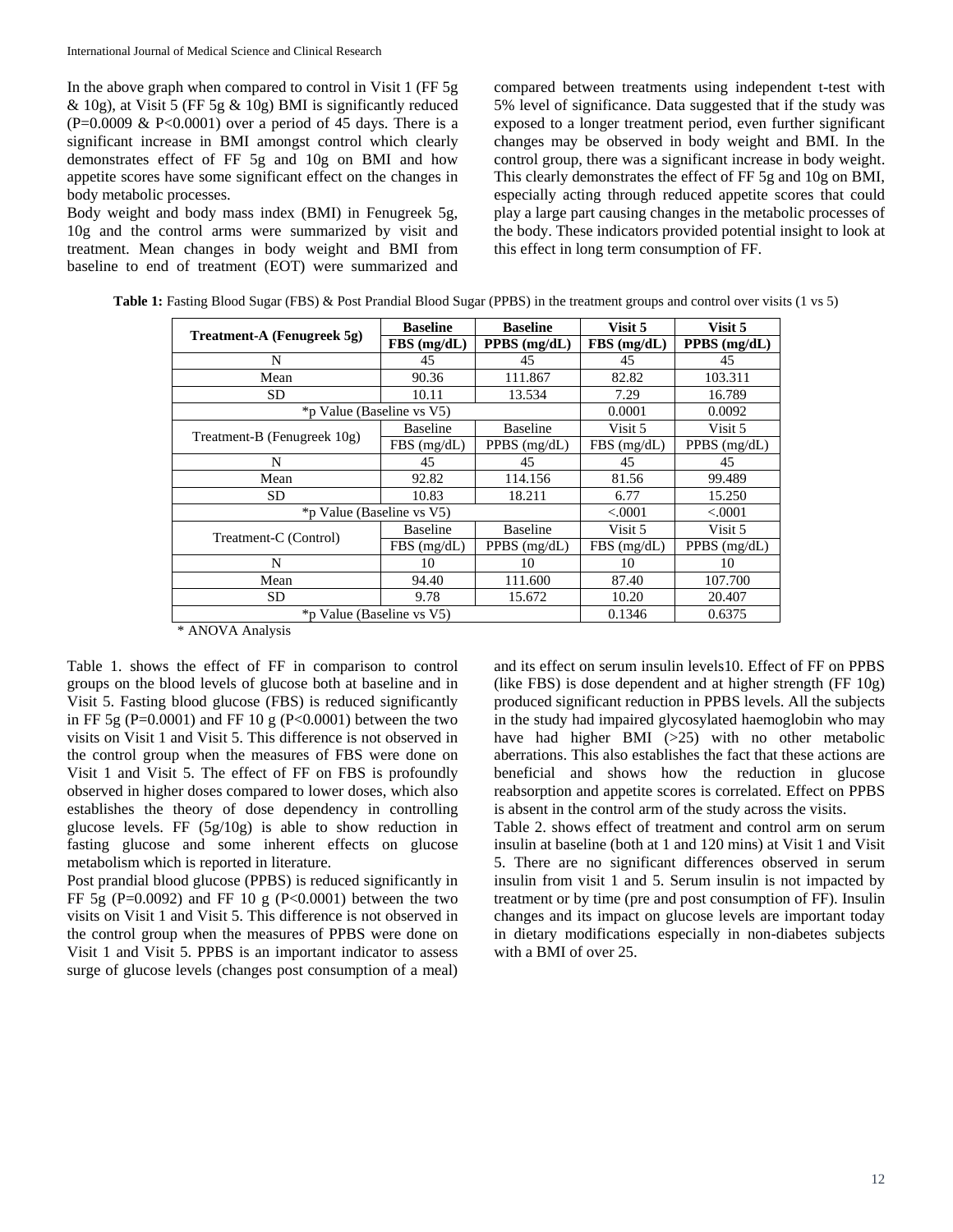In the above graph when compared to control in Visit 1 (FF 5g  $\&$  10g), at Visit 5 (FF 5g  $\&$  10g) BMI is significantly reduced  $(P=0.0009 \& P<0.0001)$  over a period of 45 days. There is a significant increase in BMI amongst control which clearly demonstrates effect of FF 5g and 10g on BMI and how appetite scores have some significant effect on the changes in body metabolic processes.

Body weight and body mass index (BMI) in Fenugreek 5g, 10g and the control arms were summarized by visit and treatment. Mean changes in body weight and BMI from baseline to end of treatment (EOT) were summarized and

compared between treatments using independent t-test with 5% level of significance. Data suggested that if the study was exposed to a longer treatment period, even further significant changes may be observed in body weight and BMI. In the control group, there was a significant increase in body weight. This clearly demonstrates the effect of FF 5g and 10g on BMI, especially acting through reduced appetite scores that could play a large part causing changes in the metabolic processes of the body. These indicators provided potential insight to look at this effect in long term consumption of FF.

|                             | <b>Baseline</b>           | <b>Baseline</b> | Visit 5       | Visit 5        |
|-----------------------------|---------------------------|-----------------|---------------|----------------|
| Treatment-A (Fenugreek 5g)  | FBS(mg/dL)                | PPBS (mg/dL)    | $FBS$ (mg/dL) | $PPBS$ (mg/dL) |
| N                           | 45                        | 45              | 45            | 45             |
| Mean                        | 90.36                     | 111.867         | 82.82         | 103.311        |
| <b>SD</b>                   | 10.11                     | 13.534          | 7.29          | 16.789         |
|                             | *p Value (Baseline vs V5) |                 | 0.0001        | 0.0092         |
|                             | <b>Baseline</b>           | <b>Baseline</b> | Visit 5       | Visit 5        |
| Treatment-B (Fenugreek 10g) | $FBS$ (mg/dL)             | PPBS (mg/dL)    | $FBS$ (mg/dL) | PPBS (mg/dL)   |
| N                           | 45                        | 45              | 45            | 45             |
| Mean                        | 92.82                     | 114.156         | 81.56         | 99.489         |
| SD.                         | 10.83                     | 18.211          | 6.77          | 15.250         |
|                             | *p Value (Baseline vs V5) |                 |               | < .0001        |
| Treatment-C (Control)       | <b>Baseline</b>           | <b>Baseline</b> | Visit 5       | Visit 5        |
|                             | $FBS$ (mg/dL)             | PPBS $(mg/dL)$  | $FBS$ (mg/dL) | PPBS $(mg/dL)$ |
| N                           | 10                        | 10              | 10            | 10             |
| Mean                        | 94.40                     | 111.600         | 87.40         | 107.700        |
| <b>SD</b>                   | 9.78                      | 15.672          | 10.20         | 20.407         |
| *p Value (Baseline vs V5)   |                           |                 | 0.1346        | 0.6375         |

| Table 1: Fasting Blood Sugar (FBS) & Post Prandial Blood Sugar (PPBS) in the treatment groups and control over visits (1 vs 5) |  |  |  |
|--------------------------------------------------------------------------------------------------------------------------------|--|--|--|
|--------------------------------------------------------------------------------------------------------------------------------|--|--|--|

\* ANOVA Analysis

Table 1. shows the effect of FF in comparison to control groups on the blood levels of glucose both at baseline and in Visit 5. Fasting blood glucose (FBS) is reduced significantly in FF 5g (P=0.0001) and FF 10 g (P<0.0001) between the two visits on Visit 1 and Visit 5. This difference is not observed in the control group when the measures of FBS were done on Visit 1 and Visit 5. The effect of FF on FBS is profoundly observed in higher doses compared to lower doses, which also establishes the theory of dose dependency in controlling glucose levels. FF (5g/10g) is able to show reduction in fasting glucose and some inherent effects on glucose metabolism which is reported in literature.

Post prandial blood glucose (PPBS) is reduced significantly in FF 5g (P=0.0092) and FF 10 g (P<0.0001) between the two visits on Visit 1 and Visit 5. This difference is not observed in the control group when the measures of PPBS were done on Visit 1 and Visit 5. PPBS is an important indicator to assess surge of glucose levels (changes post consumption of a meal)

and its effect on serum insulin levels10. Effect of FF on PPBS (like FBS) is dose dependent and at higher strength (FF 10g) produced significant reduction in PPBS levels. All the subjects in the study had impaired glycosylated haemoglobin who may have had higher BMI (>25) with no other metabolic aberrations. This also establishes the fact that these actions are beneficial and shows how the reduction in glucose reabsorption and appetite scores is correlated. Effect on PPBS is absent in the control arm of the study across the visits.

Table 2. shows effect of treatment and control arm on serum insulin at baseline (both at 1 and 120 mins) at Visit 1 and Visit 5. There are no significant differences observed in serum insulin from visit 1 and 5. Serum insulin is not impacted by treatment or by time (pre and post consumption of FF). Insulin changes and its impact on glucose levels are important today in dietary modifications especially in non-diabetes subjects with a BMI of over 25.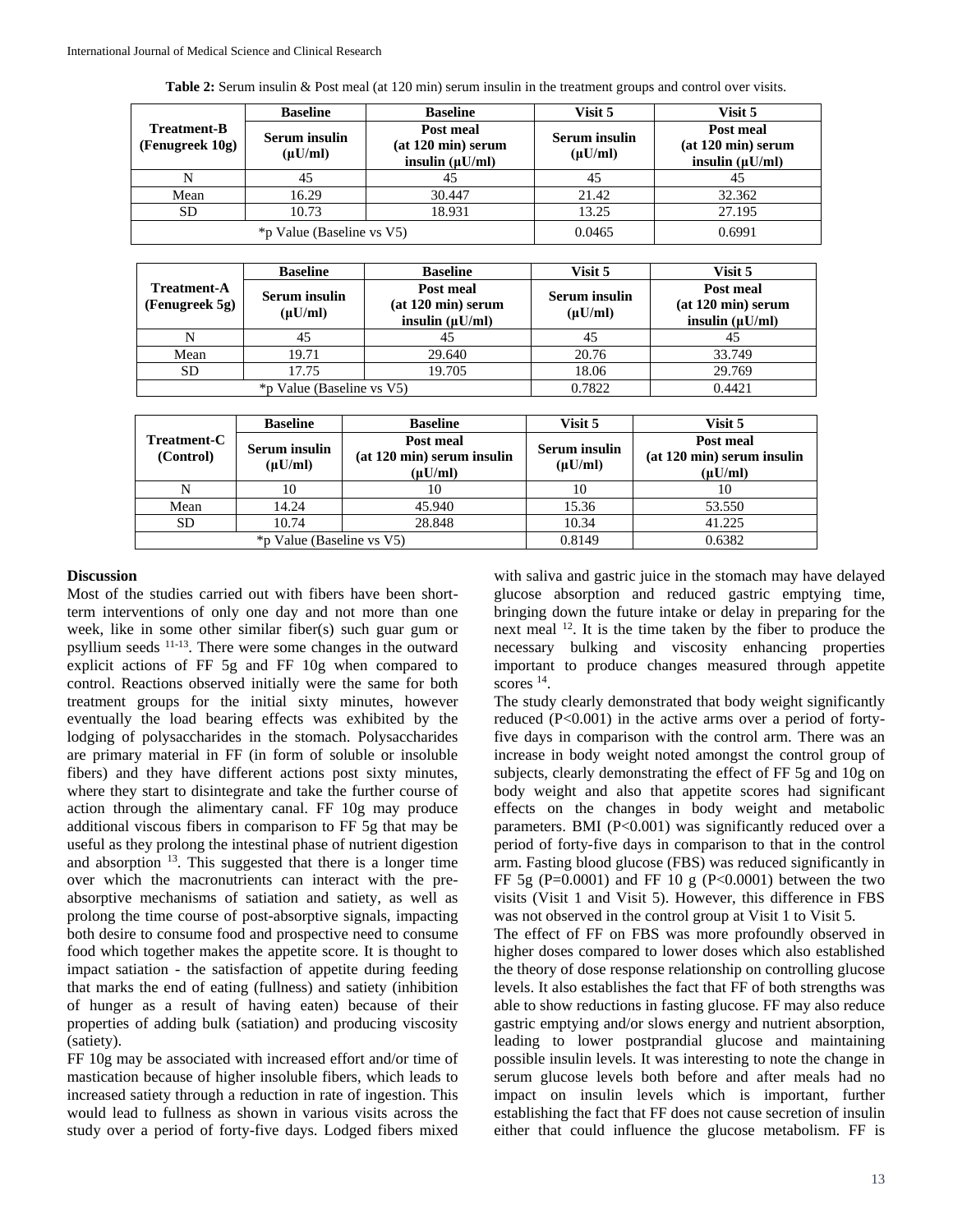|                                       | <b>Baseline</b>                      | <b>Baseline</b>                                           | Visit 5                              | Visit 5                                                   |
|---------------------------------------|--------------------------------------|-----------------------------------------------------------|--------------------------------------|-----------------------------------------------------------|
| <b>Treatment-B</b><br>(Fenugreek 10g) | <b>Serum</b> insulin<br>$(\mu U/ml)$ | Post meal<br>$(at 120 min)$ serum<br>insulin $(\mu U/ml)$ | <b>Serum</b> insulin<br>$(\mu U/ml)$ | Post meal<br>$(at 120 min)$ serum<br>insulin $(\mu U/ml)$ |
|                                       | 45                                   | 45                                                        | 45                                   | 45                                                        |
| Mean                                  | 16.29                                | 30.447                                                    | 21.42                                | 32.362                                                    |
| SD                                    | 10.73                                | 18.931                                                    | 13.25                                | 27.195                                                    |
|                                       | *p Value (Baseline vs V5)            |                                                           | 0.0465                               | 0.6991                                                    |

|                                      | <b>Baseline</b>                      | <b>Baseline</b>                                         | Visit 5                              | Visit 5                                                   |
|--------------------------------------|--------------------------------------|---------------------------------------------------------|--------------------------------------|-----------------------------------------------------------|
| <b>Treatment-A</b><br>(Fenugreek 5g) | <b>Serum</b> insulin<br>$(\mu U/ml)$ | Post meal<br>(at 120 min) serum<br>insulin $(\mu U/ml)$ | <b>Serum</b> insulin<br>$(\mu U/ml)$ | Post meal<br>$(at 120 min)$ serum<br>insulin $(\mu U/ml)$ |
|                                      | 45                                   | 45                                                      | 45                                   |                                                           |
| Mean                                 | 19.71                                | 29.640                                                  | 20.76                                | 33.749                                                    |
| SD.                                  | 17.75                                | 19.705                                                  | 18.06                                | 29.769                                                    |
|                                      | *p Value (Baseline vs V5)            |                                                         | 0.7822                               | 0.4421                                                    |

|                          | <b>Baseline</b>                      | <b>Baseline</b>                                         | Visit 5                              | Visit 5                                                   |
|--------------------------|--------------------------------------|---------------------------------------------------------|--------------------------------------|-----------------------------------------------------------|
| Treatment-C<br>(Control) | <b>Serum</b> insulin<br>$(\mu U/ml)$ | Post meal<br>(at 120 min) serum insulin<br>$(\mu U/ml)$ | <b>Serum</b> insulin<br>$(\mu U/ml)$ | Post meal<br>$(at 120 min)$ serum insulin<br>$(\mu U/ml)$ |
|                          | 10                                   | 10                                                      | 10                                   | 10                                                        |
| Mean                     | 14.24                                | 45.940                                                  | 15.36                                | 53.550                                                    |
| <b>SD</b>                | 10.74                                | 28.848                                                  | 10.34                                | 41.225                                                    |
|                          | *p Value (Baseline vs V5)            |                                                         | 0.8149                               | 0.6382                                                    |

## **Discussion**

Most of the studies carried out with fibers have been shortterm interventions of only one day and not more than one week, like in some other similar fiber(s) such guar gum or psyllium seeds <sup>11-13</sup>. There were some changes in the outward explicit actions of FF 5g and FF 10g when compared to control. Reactions observed initially were the same for both treatment groups for the initial sixty minutes, however eventually the load bearing effects was exhibited by the lodging of polysaccharides in the stomach. Polysaccharides are primary material in FF (in form of soluble or insoluble fibers) and they have different actions post sixty minutes, where they start to disintegrate and take the further course of action through the alimentary canal. FF 10g may produce additional viscous fibers in comparison to FF 5g that may be useful as they prolong the intestinal phase of nutrient digestion and absorption  $13$ . This suggested that there is a longer time over which the macronutrients can interact with the preabsorptive mechanisms of satiation and satiety, as well as prolong the time course of post-absorptive signals, impacting both desire to consume food and prospective need to consume food which together makes the appetite score. It is thought to impact satiation - the satisfaction of appetite during feeding that marks the end of eating (fullness) and satiety (inhibition of hunger as a result of having eaten) because of their properties of adding bulk (satiation) and producing viscosity (satiety).

FF 10g may be associated with increased effort and/or time of mastication because of higher insoluble fibers, which leads to increased satiety through a reduction in rate of ingestion. This would lead to fullness as shown in various visits across the study over a period of forty-five days. Lodged fibers mixed

with saliva and gastric juice in the stomach may have delayed glucose absorption and reduced gastric emptying time, bringing down the future intake or delay in preparing for the next meal <sup>12</sup>. It is the time taken by the fiber to produce the necessary bulking and viscosity enhancing properties important to produce changes measured through appetite scores <sup>14</sup>.

The study clearly demonstrated that body weight significantly reduced (P<0.001) in the active arms over a period of fortyfive days in comparison with the control arm. There was an increase in body weight noted amongst the control group of subjects, clearly demonstrating the effect of FF 5g and 10g on body weight and also that appetite scores had significant effects on the changes in body weight and metabolic parameters. BMI (P<0.001) was significantly reduced over a period of forty-five days in comparison to that in the control arm. Fasting blood glucose (FBS) was reduced significantly in FF 5g (P=0.0001) and FF 10 g (P<0.0001) between the two visits (Visit 1 and Visit 5). However, this difference in FBS was not observed in the control group at Visit 1 to Visit 5.

The effect of FF on FBS was more profoundly observed in higher doses compared to lower doses which also established the theory of dose response relationship on controlling glucose levels. It also establishes the fact that FF of both strengths was able to show reductions in fasting glucose. FF may also reduce gastric emptying and/or slows energy and nutrient absorption, leading to lower postprandial glucose and maintaining possible insulin levels. It was interesting to note the change in serum glucose levels both before and after meals had no impact on insulin levels which is important, further establishing the fact that FF does not cause secretion of insulin either that could influence the glucose metabolism. FF is